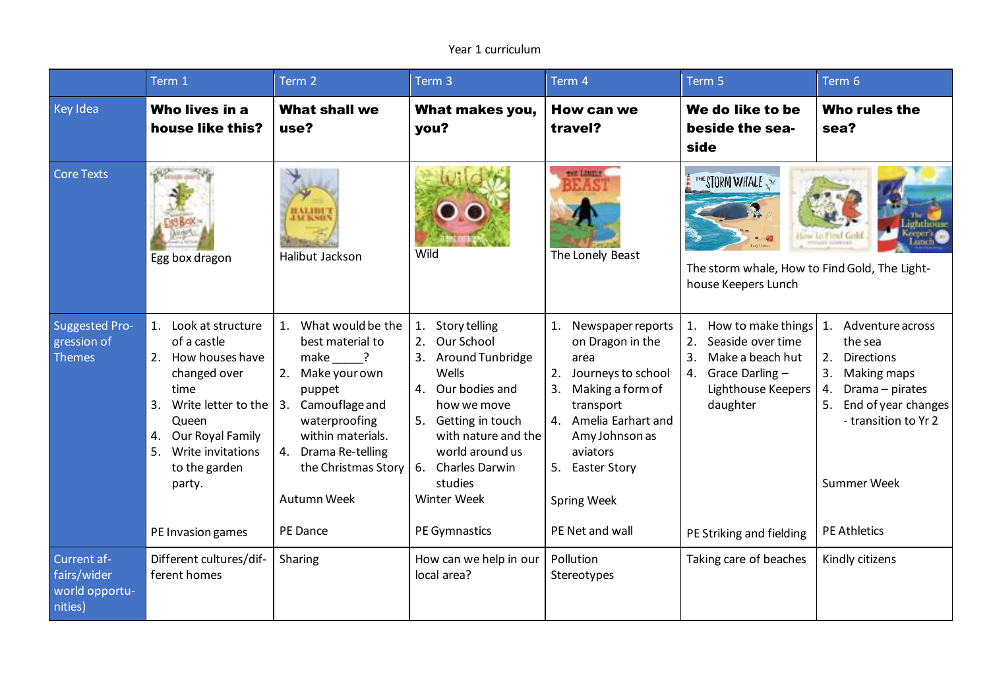## Year 1 curriculum

|                                                         | Term 1                                                                                                                                                                                                                    | Term 2                                                                                                                                                                                                                                         | Term 3                                                                                                                                                                                                                  | Term 4                                                                                                                                                                                                                              | Term 5                                                                                                                                                              | Term 6                                                                                                                                                                                                    |
|---------------------------------------------------------|---------------------------------------------------------------------------------------------------------------------------------------------------------------------------------------------------------------------------|------------------------------------------------------------------------------------------------------------------------------------------------------------------------------------------------------------------------------------------------|-------------------------------------------------------------------------------------------------------------------------------------------------------------------------------------------------------------------------|-------------------------------------------------------------------------------------------------------------------------------------------------------------------------------------------------------------------------------------|---------------------------------------------------------------------------------------------------------------------------------------------------------------------|-----------------------------------------------------------------------------------------------------------------------------------------------------------------------------------------------------------|
| Key Idea                                                | Who lives in a<br>house like this?                                                                                                                                                                                        | <b>What shall we</b><br>use?                                                                                                                                                                                                                   | What makes you,<br>you?                                                                                                                                                                                                 | <b>How can we</b><br>travel?                                                                                                                                                                                                        | We do like to be<br>beside the sea-<br>side                                                                                                                         | Who rules the<br>sea?                                                                                                                                                                                     |
| <b>Core Texts</b>                                       | <b>Winner</b><br>Egg box dragon                                                                                                                                                                                           | 1.A.I.IIII<br>Halibut Jackson                                                                                                                                                                                                                  | Wild                                                                                                                                                                                                                    | <b>THE LONES</b><br>The Lonely Beast                                                                                                                                                                                                | THE STORM WHALE<br>The storm whale, How to Find Gold, The Light-<br>house Keepers Lunch                                                                             |                                                                                                                                                                                                           |
| <b>Suggested Pro-</b><br>gression of<br><b>Themes</b>   | 1. Look at structure<br>of a castle<br>2. How houses have<br>changed over<br>time<br>3.<br>Write letter to the<br>Queen<br>4. Our Royal Family<br>5.<br>Write invitations<br>to the garden<br>party.<br>PE Invasion games | What would be the<br>best material to<br>make ?<br>Make your own<br>puppet<br>Camouflage and<br>3.<br>waterproofing<br>within materials.<br>Drama Re-telling<br>4.<br>the Christmas Story $\vert$ 6. Charles Darwin<br>Autumn Week<br>PE Dance | 1.<br>Story telling<br>Our School<br>2.<br>3. Around Tunbridge<br>Wells<br>4. Our bodies and<br>how we move<br>5. Getting in touch<br>with nature and the<br>world around us<br>studies<br>Winter Week<br>PE Gymnastics | 1. Newspaper reports<br>on Dragon in the<br>area<br>2. Journeys to school<br>3.<br>Making a form of<br>transport<br>4. Amelia Earhart and<br>Amy Johnson as<br>aviators<br>5. Easter Story<br><b>Spring Week</b><br>PE Net and wall | How to make things<br>1.<br>2.<br>Seaside over time<br>Make a beach hut<br>3.<br>4. Grace Darling $-$<br>Lighthouse Keepers<br>daughter<br>PE Striking and fielding | 1. Adventure across<br>the sea<br>2.<br><b>Directions</b><br>Making maps<br>3.<br>Drama - pirates<br>4.<br>End of year changes<br>5.<br>- transition to Yr 2<br><b>Summer Week</b><br><b>PE Athletics</b> |
| Current af-<br>fairs/wider<br>world opportu-<br>nities) | Different cultures/dif-<br>ferent homes                                                                                                                                                                                   | Sharing                                                                                                                                                                                                                                        | How can we help in our<br>local area?                                                                                                                                                                                   | Pollution<br>Stereotypes                                                                                                                                                                                                            | Taking care of beaches                                                                                                                                              | Kindly citizens                                                                                                                                                                                           |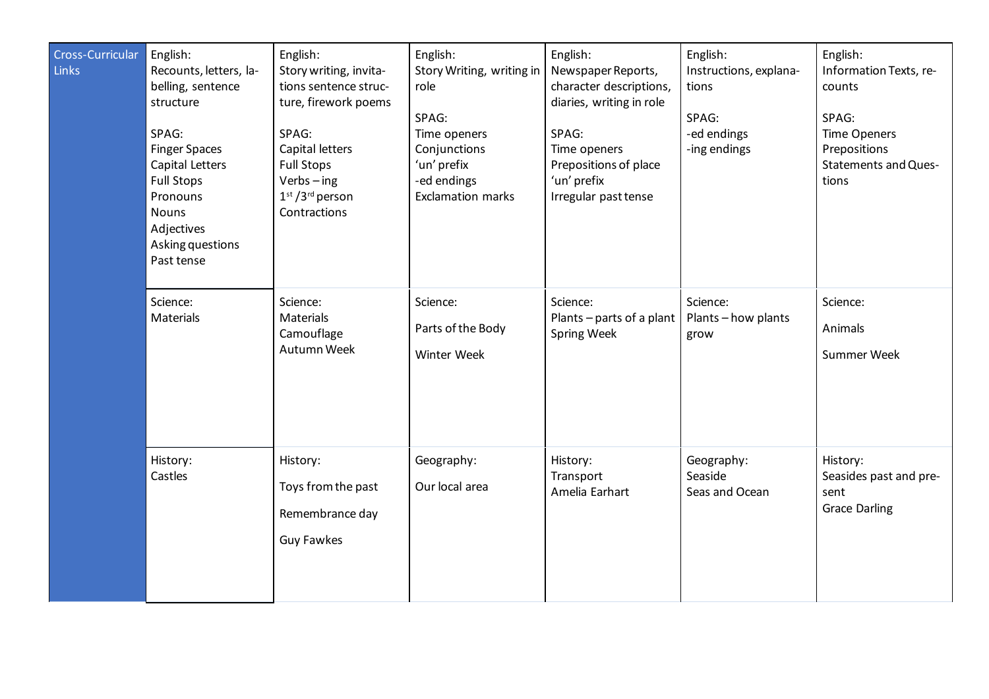| Cross-Curricular<br><b>Links</b> | English:<br>Recounts, letters, la-<br>belling, sentence<br>structure<br>SPAG:<br><b>Finger Spaces</b><br>Capital Letters<br><b>Full Stops</b><br>Pronouns<br><b>Nouns</b><br>Adjectives<br>Asking questions<br>Past tense | English:<br>Story writing, invita-<br>tions sentence struc-<br>ture, firework poems<br>SPAG:<br>Capital letters<br><b>Full Stops</b><br>$Verbs - ing$<br>$1st / 3rd$ person<br>Contractions | English:<br>Story Writing, writing in<br>role<br>SPAG:<br>Time openers<br>Conjunctions<br>'un' prefix<br>-ed endings<br><b>Exclamation marks</b> | English:<br>Newspaper Reports,<br>character descriptions,<br>diaries, writing in role<br>SPAG:<br>Time openers<br>Prepositions of place<br>'un' prefix<br>Irregular past tense | English:<br>Instructions, explana-<br>tions<br>SPAG:<br>-ed endings<br>-ing endings | English:<br>Information Texts, re-<br>counts<br>SPAG:<br><b>Time Openers</b><br>Prepositions<br><b>Statements and Ques-</b><br>tions |
|----------------------------------|---------------------------------------------------------------------------------------------------------------------------------------------------------------------------------------------------------------------------|---------------------------------------------------------------------------------------------------------------------------------------------------------------------------------------------|--------------------------------------------------------------------------------------------------------------------------------------------------|--------------------------------------------------------------------------------------------------------------------------------------------------------------------------------|-------------------------------------------------------------------------------------|--------------------------------------------------------------------------------------------------------------------------------------|
|                                  | Science:<br>Materials                                                                                                                                                                                                     | Science:<br>Materials<br>Camouflage<br>Autumn Week                                                                                                                                          | Science:<br>Parts of the Body<br>Winter Week                                                                                                     | Science:<br>Plants - parts of a plant<br><b>Spring Week</b>                                                                                                                    | Science:<br>Plants-how plants<br>grow                                               | Science:<br>Animals<br>Summer Week                                                                                                   |
|                                  | History:<br>Castles                                                                                                                                                                                                       | History:<br>Toys from the past<br>Remembrance day<br><b>Guy Fawkes</b>                                                                                                                      | Geography:<br>Our local area                                                                                                                     | History:<br>Transport<br>Amelia Earhart                                                                                                                                        | Geography:<br>Seaside<br>Seas and Ocean                                             | History:<br>Seasides past and pre-<br>sent<br><b>Grace Darling</b>                                                                   |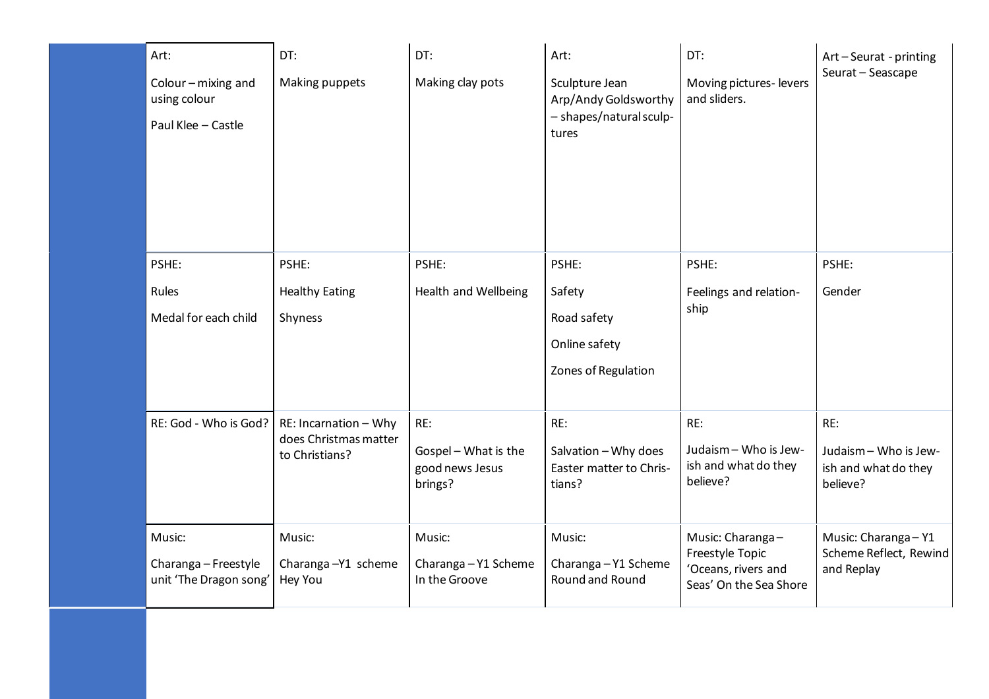| Art:<br>Colour - mixing and<br>using colour<br>Paul Klee - Castle | DT:<br>Making puppets                                            | DT:<br>Making clay pots                                   | Art:<br>Sculpture Jean<br>Arp/Andy Goldsworthy<br>- shapes/natural sculp-<br>tures | DT:<br>Moving pictures-levers<br>and sliders.                                        | Art-Seurat - printing<br>Seurat - Seascape                       |
|-------------------------------------------------------------------|------------------------------------------------------------------|-----------------------------------------------------------|------------------------------------------------------------------------------------|--------------------------------------------------------------------------------------|------------------------------------------------------------------|
| PSHE:<br>Rules<br>Medal for each child                            | PSHE:<br><b>Healthy Eating</b><br>Shyness                        | PSHE:<br><b>Health and Wellbeing</b>                      | PSHE:<br>Safety<br>Road safety<br>Online safety<br>Zones of Regulation             | PSHE:<br>Feelings and relation-<br>ship                                              | PSHE:<br>Gender                                                  |
| RE: God - Who is God?                                             | RE: Incarnation - Why<br>does Christmas matter<br>to Christians? | RE:<br>Gospel - What is the<br>good news Jesus<br>brings? | RE:<br>Salvation - Why does<br>Easter matter to Chris-<br>tians?                   | RE:<br>Judaism - Who is Jew-<br>ish and what do they<br>believe?                     | RE:<br>Judaism - Who is Jew-<br>ish and what do they<br>believe? |
| Music:<br>Charanga - Freestyle<br>unit 'The Dragon song'          | Music:<br>Charanga-Y1 scheme<br>Hey You                          | Music:<br>Charanga - Y1 Scheme<br>In the Groove           | Music:<br>Charanga - Y1 Scheme<br>Round and Round                                  | Music: Charanga-<br>Freestyle Topic<br>'Oceans, rivers and<br>Seas' On the Sea Shore | Music: Charanga - Y1<br>Scheme Reflect, Rewind<br>and Replay     |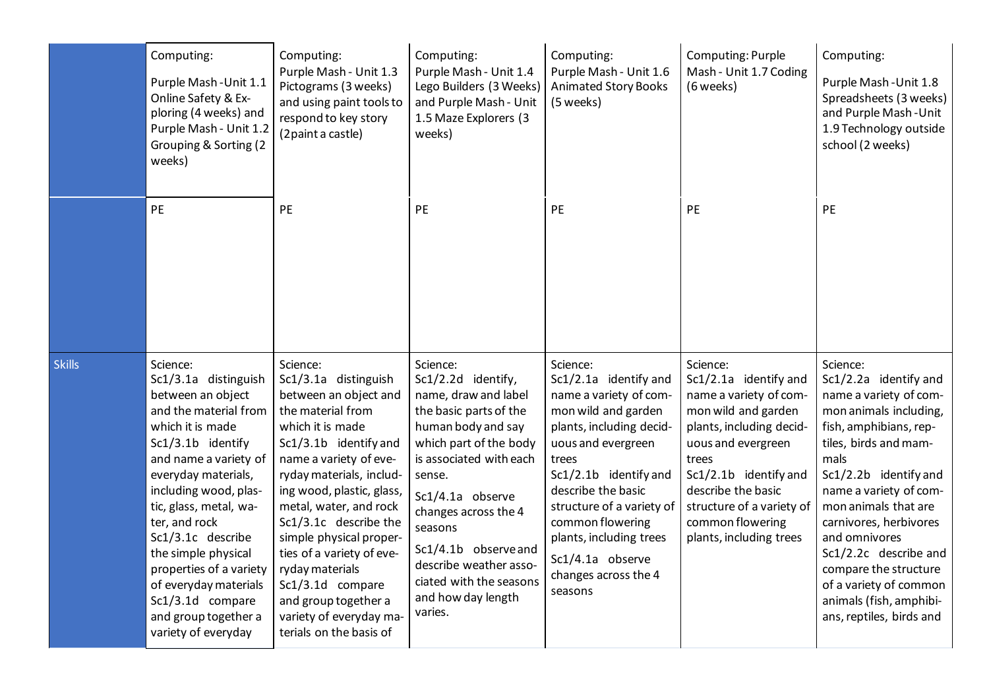|               | Computing:<br>Purple Mash - Unit 1.1<br>Online Safety & Ex-<br>ploring (4 weeks) and<br>Purple Mash - Unit 1.2<br>Grouping & Sorting (2<br>weeks)                                                                                                                                                                                                                                                              | Computing:<br>Purple Mash - Unit 1.3<br>Pictograms (3 weeks)<br>and using paint tools to<br>respond to key story<br>(2 paint a castle)                                                                                                                                                                                                                                                                                                         | Computing:<br>Purple Mash - Unit 1.4<br>Lego Builders (3 Weeks)<br>and Purple Mash - Unit<br>1.5 Maze Explorers (3<br>weeks)                                                                                                                                                                                                               | Computing:<br>Purple Mash - Unit 1.6<br><b>Animated Story Books</b><br>(5 weeks)                                                                                                                                                                                                                                                | Computing: Purple<br>Mash - Unit 1.7 Coding<br>(6 weeks)                                                                                                                                                                                                                 | Computing:<br>Purple Mash - Unit 1.8<br>Spreadsheets (3 weeks)<br>and Purple Mash-Unit<br>1.9 Technology outside<br>school (2 weeks)                                                                                                                                                                                                                                                                      |
|---------------|----------------------------------------------------------------------------------------------------------------------------------------------------------------------------------------------------------------------------------------------------------------------------------------------------------------------------------------------------------------------------------------------------------------|------------------------------------------------------------------------------------------------------------------------------------------------------------------------------------------------------------------------------------------------------------------------------------------------------------------------------------------------------------------------------------------------------------------------------------------------|--------------------------------------------------------------------------------------------------------------------------------------------------------------------------------------------------------------------------------------------------------------------------------------------------------------------------------------------|---------------------------------------------------------------------------------------------------------------------------------------------------------------------------------------------------------------------------------------------------------------------------------------------------------------------------------|--------------------------------------------------------------------------------------------------------------------------------------------------------------------------------------------------------------------------------------------------------------------------|-----------------------------------------------------------------------------------------------------------------------------------------------------------------------------------------------------------------------------------------------------------------------------------------------------------------------------------------------------------------------------------------------------------|
|               | PE                                                                                                                                                                                                                                                                                                                                                                                                             | PE                                                                                                                                                                                                                                                                                                                                                                                                                                             | PE                                                                                                                                                                                                                                                                                                                                         | PE                                                                                                                                                                                                                                                                                                                              | PE                                                                                                                                                                                                                                                                       | PE                                                                                                                                                                                                                                                                                                                                                                                                        |
| <b>Skills</b> | Science:<br>Sc1/3.1a distinguish<br>between an object<br>and the material from<br>which it is made<br>Sc1/3.1b identify<br>and name a variety of<br>everyday materials,<br>including wood, plas-<br>tic, glass, metal, wa-<br>ter, and rock<br>Sc1/3.1c describe<br>the simple physical<br>properties of a variety<br>of everyday materials<br>Sc1/3.1d compare<br>and group together a<br>variety of everyday | Science:<br>Sc1/3.1a distinguish<br>between an object and<br>the material from<br>which it is made<br>Sc1/3.1b identify and<br>name a variety of eve-<br>ryday materials, includ-<br>ing wood, plastic, glass,<br>metal, water, and rock<br>Sc1/3.1c describe the<br>simple physical proper-<br>ties of a variety of eve-<br>ryday materials<br>Sc1/3.1d compare<br>and group together a<br>variety of everyday ma-<br>terials on the basis of | Science:<br>Sc1/2.2d identify,<br>name, draw and label<br>the basic parts of the<br>human body and say<br>which part of the body<br>is associated with each<br>sense.<br>Sc1/4.1a observe<br>changes across the 4<br>seasons<br>Sc1/4.1b observe and<br>describe weather asso-<br>ciated with the seasons<br>and how day length<br>varies. | Science:<br>Sc1/2.1a identify and<br>name a variety of com-<br>mon wild and garden<br>plants, including decid-<br>uous and evergreen<br>trees<br>Sc1/2.1b identify and<br>describe the basic<br>structure of a variety of<br>common flowering<br>plants, including trees<br>Sc1/4.1a observe<br>changes across the 4<br>seasons | Science:<br>Sc1/2.1a identify and<br>name a variety of com-<br>mon wild and garden<br>plants, including decid-<br>uous and evergreen<br>trees<br>Sc1/2.1b identify and<br>describe the basic<br>structure of a variety of<br>common flowering<br>plants, including trees | Science:<br>Sc1/2.2a identify and<br>name a variety of com-<br>mon animals including,<br>fish, amphibians, rep-<br>tiles, birds and mam-<br>mals<br>Sc1/2.2b identify and<br>name a variety of com-<br>mon animals that are<br>carnivores, herbivores<br>and omnivores<br>Sc1/2.2c describe and<br>compare the structure<br>of a variety of common<br>animals (fish, amphibi-<br>ans, reptiles, birds and |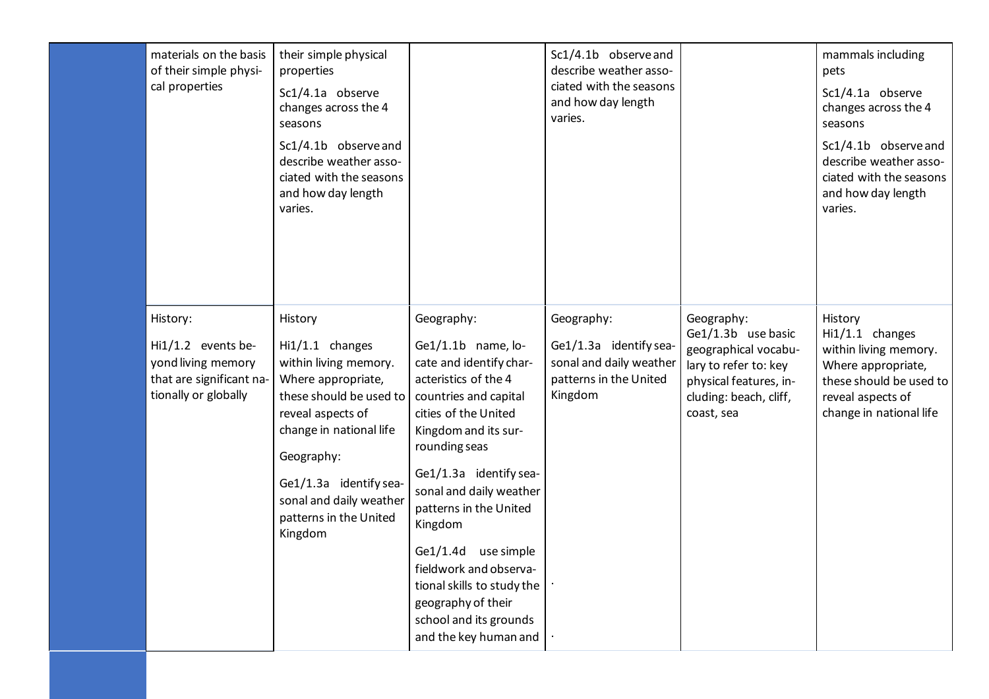| materials on the basis<br>of their simple physi-<br>cal properties                                       | their simple physical<br>properties<br>Sc1/4.1a observe<br>changes across the 4<br>seasons<br>Sc1/4.1b observe and<br>describe weather asso-<br>ciated with the seasons<br>and how day length<br>varies.                                                     |                                                                                                                                                                                                                                                                                                                                                                                                                                   | Sc1/4.1b observe and<br>describe weather asso-<br>ciated with the seasons<br>and how day length<br>varies. |                                                                                                                                                     | mammals including<br>pets<br>Sc1/4.1a observe<br>changes across the 4<br>seasons<br>Sc1/4.1b observe and<br>describe weather asso-<br>ciated with the seasons<br>and how day length<br>varies. |
|----------------------------------------------------------------------------------------------------------|--------------------------------------------------------------------------------------------------------------------------------------------------------------------------------------------------------------------------------------------------------------|-----------------------------------------------------------------------------------------------------------------------------------------------------------------------------------------------------------------------------------------------------------------------------------------------------------------------------------------------------------------------------------------------------------------------------------|------------------------------------------------------------------------------------------------------------|-----------------------------------------------------------------------------------------------------------------------------------------------------|------------------------------------------------------------------------------------------------------------------------------------------------------------------------------------------------|
| History:<br>Hi1/1.2 events be-<br>yond living memory<br>that are significant na-<br>tionally or globally | History<br>Hi1/1.1 changes<br>within living memory.<br>Where appropriate,<br>these should be used to<br>reveal aspects of<br>change in national life<br>Geography:<br>Ge1/1.3a identify sea-<br>sonal and daily weather<br>patterns in the United<br>Kingdom | Geography:<br>$Ge1/1.1b$ name, lo-<br>cate and identify char-<br>acteristics of the 4<br>countries and capital<br>cities of the United<br>Kingdom and its sur-<br>rounding seas<br>Ge1/1.3a identify sea-<br>sonal and daily weather<br>patterns in the United<br>Kingdom<br>Ge1/1.4d use simple<br>fieldwork and observa-<br>tional skills to study the<br>geography of their<br>school and its grounds<br>and the key human and | Geography:<br>Ge1/1.3a identify sea-<br>sonal and daily weather<br>patterns in the United<br>Kingdom       | Geography:<br>Ge1/1.3b use basic<br>geographical vocabu-<br>lary to refer to: key<br>physical features, in-<br>cluding: beach, cliff,<br>coast, sea | History<br>Hi1/1.1 changes<br>within living memory.<br>Where appropriate,<br>these should be used to<br>reveal aspects of<br>change in national life                                           |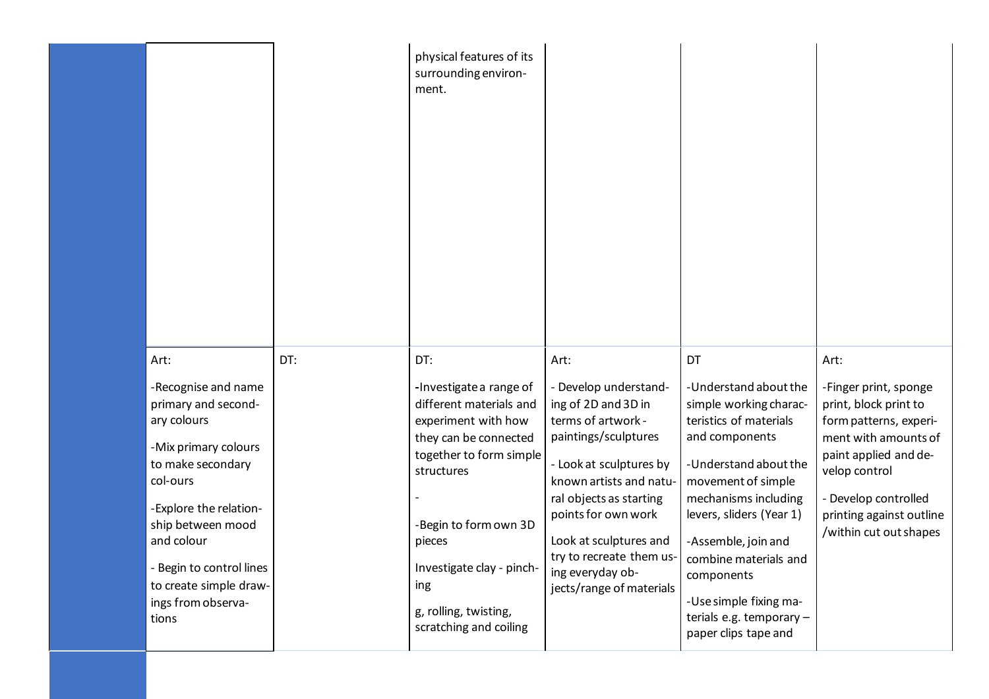|                                                                                                                                                                                                                                                                              |     | physical features of its<br>surrounding environ-<br>ment.                                                                                                                                                                                                                    |                                                                                                                                                                                                                                                                                                                  |                                                                                                                                                                                                                                                                                                                                                  |                                                                                                                                                                                                                                  |
|------------------------------------------------------------------------------------------------------------------------------------------------------------------------------------------------------------------------------------------------------------------------------|-----|------------------------------------------------------------------------------------------------------------------------------------------------------------------------------------------------------------------------------------------------------------------------------|------------------------------------------------------------------------------------------------------------------------------------------------------------------------------------------------------------------------------------------------------------------------------------------------------------------|--------------------------------------------------------------------------------------------------------------------------------------------------------------------------------------------------------------------------------------------------------------------------------------------------------------------------------------------------|----------------------------------------------------------------------------------------------------------------------------------------------------------------------------------------------------------------------------------|
| Art:<br>-Recognise and name<br>primary and second-<br>ary colours<br>-Mix primary colours<br>to make secondary<br>col-ours<br>-Explore the relation-<br>ship between mood<br>and colour<br>- Begin to control lines<br>to create simple draw-<br>ings from observa-<br>tions | DT: | DT:<br>-Investigate a range of<br>different materials and<br>experiment with how<br>they can be connected<br>together to form simple<br>structures<br>-Begin to form own 3D<br>pieces<br>Investigate clay - pinch-<br>ing<br>g, rolling, twisting,<br>scratching and coiling | Art:<br>- Develop understand-<br>ing of 2D and 3D in<br>terms of artwork -<br>paintings/sculptures<br>- Look at sculptures by<br>known artists and natu-<br>ral objects as starting<br>points for own work<br>Look at sculptures and<br>try to recreate them us-<br>ing everyday ob-<br>jects/range of materials | DT<br>-Understand about the<br>simple working charac-<br>teristics of materials<br>and components<br>-Understand about the<br>movement of simple<br>mechanisms including<br>levers, sliders (Year 1)<br>-Assemble, join and<br>combine materials and<br>components<br>-Use simple fixing ma-<br>terials e.g. temporary -<br>paper clips tape and | Art:<br>-Finger print, sponge<br>print, block print to<br>form patterns, experi-<br>ment with amounts of<br>paint applied and de-<br>velop control<br>- Develop controlled<br>printing against outline<br>/within cut out shapes |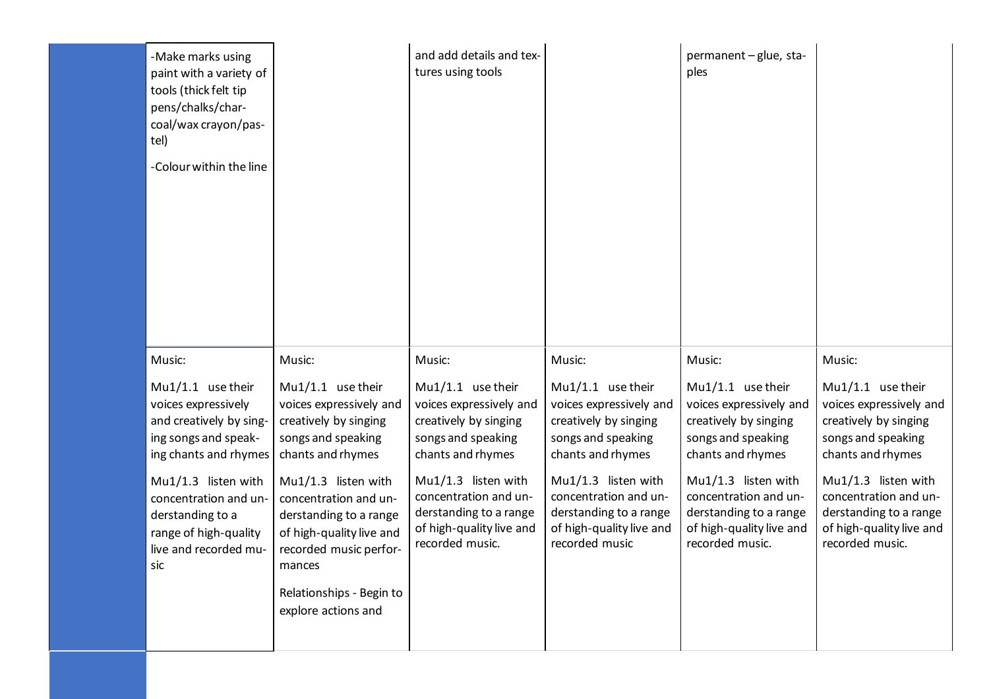| -Make marks using<br>paint with a variety of<br>tools (thick felt tip<br>pens/chalks/char-<br>coal/wax crayon/pas-<br>tel) |                                                                                                                                          | and add details and tex-<br>tures using tools                                                                         |                                                                                                                      | permanent - glue, sta-<br>ples                                                                                        |                                                                                                                       |
|----------------------------------------------------------------------------------------------------------------------------|------------------------------------------------------------------------------------------------------------------------------------------|-----------------------------------------------------------------------------------------------------------------------|----------------------------------------------------------------------------------------------------------------------|-----------------------------------------------------------------------------------------------------------------------|-----------------------------------------------------------------------------------------------------------------------|
| -Colour within the line                                                                                                    |                                                                                                                                          |                                                                                                                       |                                                                                                                      |                                                                                                                       |                                                                                                                       |
| Music:                                                                                                                     | Music:                                                                                                                                   | Music:                                                                                                                | Music:                                                                                                               | Music:                                                                                                                | Music:                                                                                                                |
| $Mu1/1.1$ use their<br>voices expressively<br>and creatively by sing-<br>ing songs and speak-<br>ing chants and rhymes     | $Mu1/1.1$ use their<br>voices expressively and<br>creatively by singing<br>songs and speaking<br>chants and rhymes                       | $Mu1/1.1$ use their<br>voices expressively and<br>creatively by singing<br>songs and speaking<br>chants and rhymes    | Mu1/1.1 use their<br>voices expressively and<br>creatively by singing<br>songs and speaking<br>chants and rhymes     | Mu1/1.1 use their<br>voices expressively and<br>creatively by singing<br>songs and speaking<br>chants and rhymes      | Mu1/1.1 use their<br>voices expressively and<br>creatively by singing<br>songs and speaking<br>chants and rhymes      |
| Mu1/1.3 listen with<br>concentration and un-<br>derstanding to a<br>range of high-quality<br>live and recorded mu-<br>sic  | $Mu1/1.3$ listen with<br>concentration and un-<br>derstanding to a range<br>of high-quality live and<br>recorded music perfor-<br>mances | Mu1/1.3 listen with<br>concentration and un-<br>derstanding to a range<br>of high-quality live and<br>recorded music. | Mu1/1.3 listen with<br>concentration and un-<br>derstanding to a range<br>of high-quality live and<br>recorded music | Mu1/1.3 listen with<br>concentration and un-<br>derstanding to a range<br>of high-quality live and<br>recorded music. | Mu1/1.3 listen with<br>concentration and un-<br>derstanding to a range<br>of high-quality live and<br>recorded music. |
|                                                                                                                            | Relationships - Begin to<br>explore actions and                                                                                          |                                                                                                                       |                                                                                                                      |                                                                                                                       |                                                                                                                       |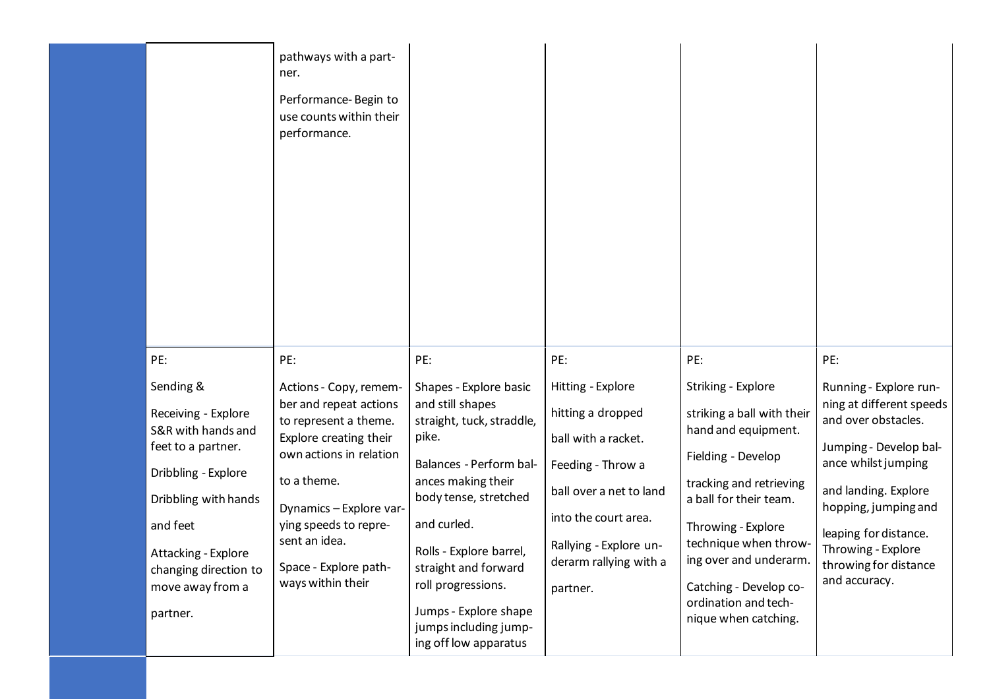|                                                                                                                                                                                                                         | pathways with a part-<br>ner.<br>Performance-Begin to<br>use counts within their<br>performance.                                                                                                                                                                 |                                                                                                                                                                                                                                                                                                                               |                                                                                                                                                                                                       |                                                                                                                                                                                                                                                                                                       |                                                                                                                                                                                                                                                                     |
|-------------------------------------------------------------------------------------------------------------------------------------------------------------------------------------------------------------------------|------------------------------------------------------------------------------------------------------------------------------------------------------------------------------------------------------------------------------------------------------------------|-------------------------------------------------------------------------------------------------------------------------------------------------------------------------------------------------------------------------------------------------------------------------------------------------------------------------------|-------------------------------------------------------------------------------------------------------------------------------------------------------------------------------------------------------|-------------------------------------------------------------------------------------------------------------------------------------------------------------------------------------------------------------------------------------------------------------------------------------------------------|---------------------------------------------------------------------------------------------------------------------------------------------------------------------------------------------------------------------------------------------------------------------|
| PE:                                                                                                                                                                                                                     | PE:                                                                                                                                                                                                                                                              | PE:                                                                                                                                                                                                                                                                                                                           | PE:                                                                                                                                                                                                   | PE:                                                                                                                                                                                                                                                                                                   | PE:                                                                                                                                                                                                                                                                 |
| Sending &<br>Receiving - Explore<br>S&R with hands and<br>feet to a partner.<br>Dribbling - Explore<br>Dribbling with hands<br>and feet<br>Attacking - Explore<br>changing direction to<br>move away from a<br>partner. | Actions - Copy, remem-<br>ber and repeat actions<br>to represent a theme.<br>Explore creating their<br>own actions in relation<br>to a theme.<br>Dynamics - Explore var-<br>ying speeds to repre-<br>sent an idea.<br>Space - Explore path-<br>ways within their | Shapes - Explore basic<br>and still shapes<br>straight, tuck, straddle,<br>pike.<br>Balances - Perform bal-<br>ances making their<br>body tense, stretched<br>and curled.<br>Rolls - Explore barrel,<br>straight and forward<br>roll progressions.<br>Jumps - Explore shape<br>jumps including jump-<br>ing off low apparatus | Hitting - Explore<br>hitting a dropped<br>ball with a racket.<br>Feeding - Throw a<br>ball over a net to land<br>into the court area.<br>Rallying - Explore un-<br>derarm rallying with a<br>partner. | Striking - Explore<br>striking a ball with their<br>hand and equipment.<br>Fielding - Develop<br>tracking and retrieving<br>a ball for their team.<br>Throwing - Explore<br>technique when throw-<br>ing over and underarm.<br>Catching - Develop co-<br>ordination and tech-<br>nique when catching. | Running - Explore run-<br>ning at different speeds<br>and over obstacles.<br>Jumping - Develop bal-<br>ance whilst jumping<br>and landing. Explore<br>hopping, jumping and<br>leaping for distance.<br>Throwing - Explore<br>throwing for distance<br>and accuracy. |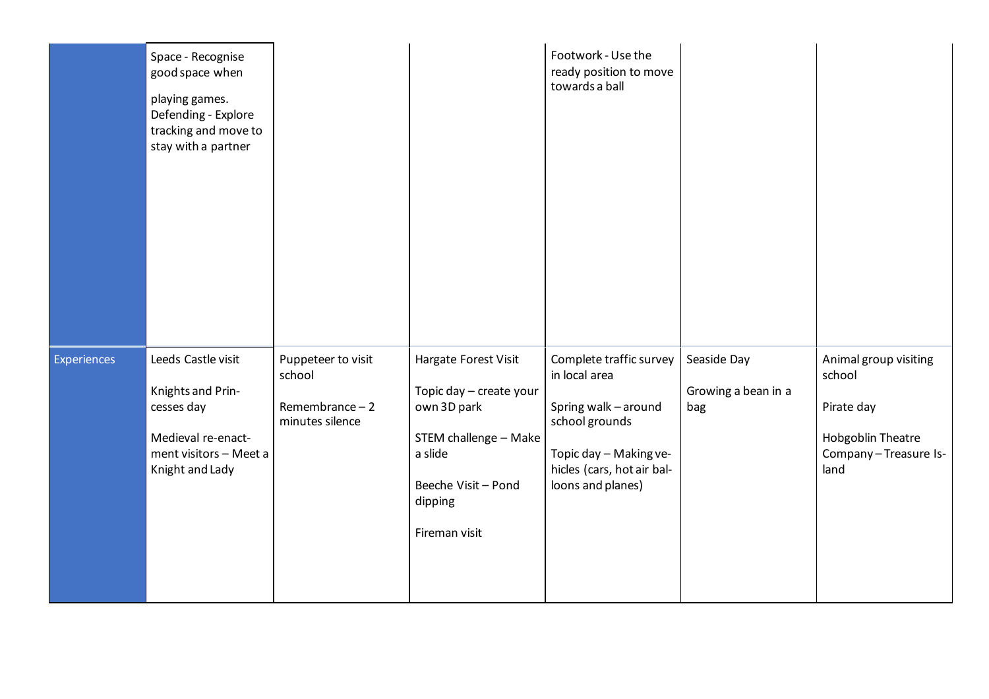|             | Space - Recognise<br>good space when<br>playing games.<br>Defending - Explore<br>tracking and move to<br>stay with a partner |                                                                     |                                                                                                                                                       | Footwork - Use the<br>ready position to move<br>towards a ball                                                                                                  |                                           |                                                                                                    |
|-------------|------------------------------------------------------------------------------------------------------------------------------|---------------------------------------------------------------------|-------------------------------------------------------------------------------------------------------------------------------------------------------|-----------------------------------------------------------------------------------------------------------------------------------------------------------------|-------------------------------------------|----------------------------------------------------------------------------------------------------|
| Experiences | Leeds Castle visit<br>Knights and Prin-<br>cesses day<br>Medieval re-enact-<br>ment visitors - Meet a<br>Knight and Lady     | Puppeteer to visit<br>school<br>Remembrance $-2$<br>minutes silence | Hargate Forest Visit<br>Topic day - create your<br>own 3D park<br>STEM challenge - Make<br>a slide<br>Beeche Visit - Pond<br>dipping<br>Fireman visit | Complete traffic survey<br>in local area<br>Spring walk - around<br>school grounds<br>Topic day - Making ve-<br>hicles (cars, hot air bal-<br>loons and planes) | Seaside Day<br>Growing a bean in a<br>bag | Animal group visiting<br>school<br>Pirate day<br>Hobgoblin Theatre<br>Company-Treasure Is-<br>land |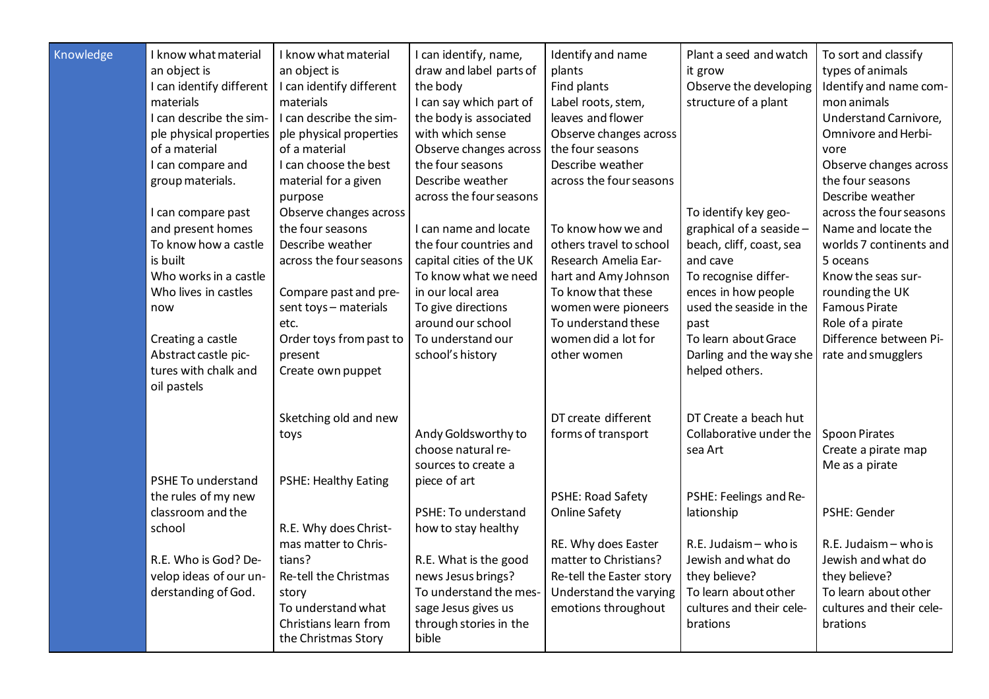| Knowledge | I know what material<br>an object is<br>I can identify different<br>materials<br>I can describe the sim-<br>ple physical properties<br>of a material<br>I can compare and<br>group materials.<br>I can compare past<br>and present homes<br>To know how a castle<br>is built<br>Who works in a castle<br>Who lives in castles<br>now<br>Creating a castle<br>Abstract castle pic-<br>tures with chalk and | I know what material<br>an object is<br>I can identify different<br>materials<br>I can describe the sim-<br>ple physical properties<br>of a material<br>I can choose the best<br>material for a given<br>purpose<br>Observe changes across<br>the four seasons<br>Describe weather<br>across the four seasons<br>Compare past and pre-<br>sent toys - materials<br>etc.<br>Order toys from past to<br>present<br>Create own puppet | I can identify, name,<br>draw and label parts of<br>the body<br>I can say which part of<br>the body is associated<br>with which sense<br>Observe changes across<br>the four seasons<br>Describe weather<br>across the four seasons<br>I can name and locate<br>the four countries and<br>capital cities of the UK<br>To know what we need<br>in our local area<br>To give directions<br>around our school<br>To understand our<br>school's history | Identify and name<br>plants<br>Find plants<br>Label roots, stem,<br>leaves and flower<br>Observe changes across<br>the four seasons<br>Describe weather<br>across the four seasons<br>To know how we and<br>others travel to school<br>Research Amelia Ear-<br>hart and Amy Johnson<br>To know that these<br>women were pioneers<br>To understand these<br>women did a lot for<br>other women | Plant a seed and watch<br>it grow<br>Observe the developing<br>structure of a plant<br>To identify key geo-<br>graphical of a seaside -<br>beach, cliff, coast, sea<br>and cave<br>To recognise differ-<br>ences in how people<br>used the seaside in the<br>past<br>To learn about Grace<br>Darling and the way she<br>helped others. | To sort and classify<br>types of animals<br>Identify and name com-<br>mon animals<br>Understand Carnivore,<br>Omnivore and Herbi-<br>vore<br>Observe changes across<br>the four seasons<br>Describe weather<br>across the four seasons<br>Name and locate the<br>worlds 7 continents and<br>5 oceans<br>Know the seas sur-<br>rounding the UK<br><b>Famous Pirate</b><br>Role of a pirate<br>Difference between Pi-<br>rate and smugglers |
|-----------|-----------------------------------------------------------------------------------------------------------------------------------------------------------------------------------------------------------------------------------------------------------------------------------------------------------------------------------------------------------------------------------------------------------|------------------------------------------------------------------------------------------------------------------------------------------------------------------------------------------------------------------------------------------------------------------------------------------------------------------------------------------------------------------------------------------------------------------------------------|----------------------------------------------------------------------------------------------------------------------------------------------------------------------------------------------------------------------------------------------------------------------------------------------------------------------------------------------------------------------------------------------------------------------------------------------------|-----------------------------------------------------------------------------------------------------------------------------------------------------------------------------------------------------------------------------------------------------------------------------------------------------------------------------------------------------------------------------------------------|----------------------------------------------------------------------------------------------------------------------------------------------------------------------------------------------------------------------------------------------------------------------------------------------------------------------------------------|-------------------------------------------------------------------------------------------------------------------------------------------------------------------------------------------------------------------------------------------------------------------------------------------------------------------------------------------------------------------------------------------------------------------------------------------|
|           | oil pastels<br>PSHE To understand<br>the rules of my new<br>classroom and the<br>school<br>R.E. Who is God? De-<br>velop ideas of our un-<br>derstanding of God.                                                                                                                                                                                                                                          | Sketching old and new<br>toys<br><b>PSHE: Healthy Eating</b><br>R.E. Why does Christ-<br>mas matter to Chris-<br>tians?<br>Re-tell the Christmas<br>story<br>To understand what<br>Christians learn from<br>the Christmas Story                                                                                                                                                                                                    | Andy Goldsworthy to<br>choose natural re-<br>sources to create a<br>piece of art<br>PSHE: To understand<br>how to stay healthy<br>R.E. What is the good<br>news Jesus brings?<br>To understand the mes-<br>sage Jesus gives us<br>through stories in the<br>bible                                                                                                                                                                                  | DT create different<br>forms of transport<br><b>PSHE: Road Safety</b><br><b>Online Safety</b><br>RE. Why does Easter<br>matter to Christians?<br>Re-tell the Easter story<br>Understand the varying<br>emotions throughout                                                                                                                                                                    | DT Create a beach hut<br>Collaborative under the<br>sea Art<br>PSHE: Feelings and Re-<br>lationship<br>R.E. Judaism - who is<br>Jewish and what do<br>they believe?<br>To learn about other<br>cultures and their cele-<br>brations                                                                                                    | <b>Spoon Pirates</b><br>Create a pirate map<br>Me as a pirate<br>PSHE: Gender<br>R.E. Judaism - who is<br>Jewish and what do<br>they believe?<br>To learn about other<br>cultures and their cele-<br>brations                                                                                                                                                                                                                             |